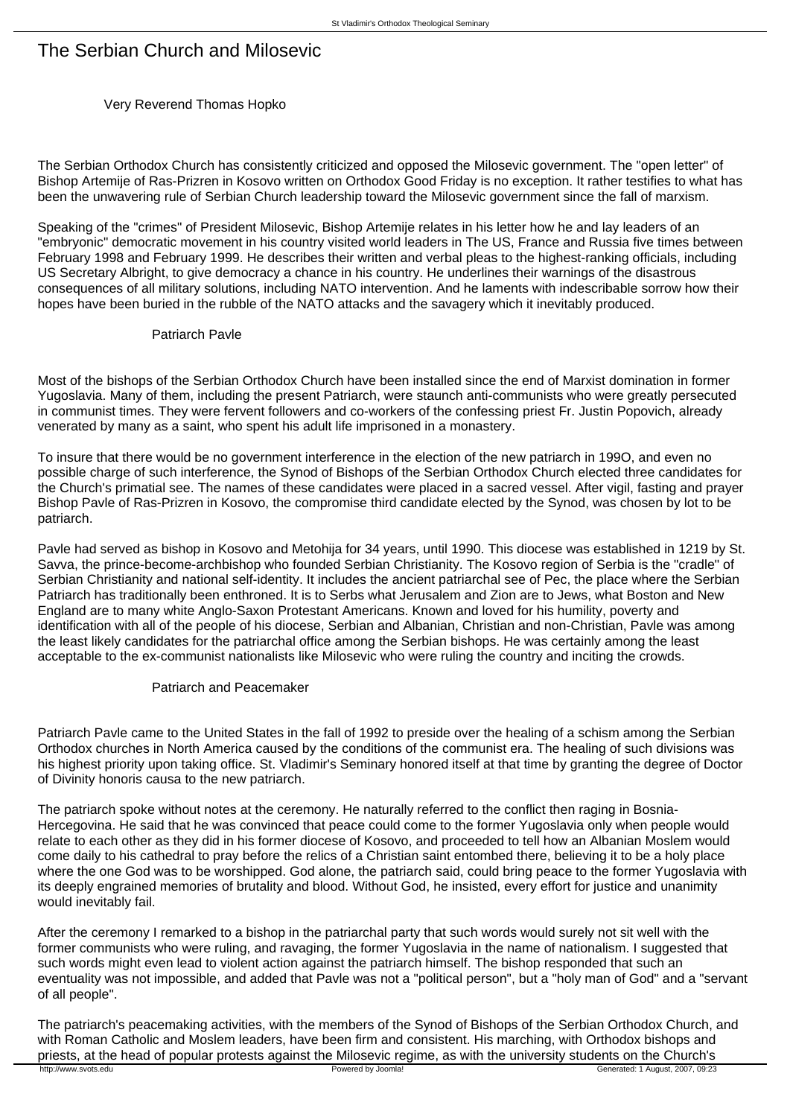# The Serbian Church and Milosevic

## Very Reverend Thomas Hopko

The Serbian Orthodox Church has consistently criticized and opposed the Milosevic government. The "open letter" of Bishop Artemije of Ras-Prizren in Kosovo written on Orthodox Good Friday is no exception. It rather testifies to what has been the unwavering rule of Serbian Church leadership toward the Milosevic government since the fall of marxism.

Speaking of the "crimes" of President Milosevic, Bishop Artemije relates in his letter how he and lay leaders of an "embryonic" democratic movement in his country visited world leaders in The US, France and Russia five times between February 1998 and February 1999. He describes their written and verbal pleas to the highest-ranking officials, including US Secretary Albright, to give democracy a chance in his country. He underlines their warnings of the disastrous consequences of all military solutions, including NATO intervention. And he laments with indescribable sorrow how their hopes have been buried in the rubble of the NATO attacks and the savagery which it inevitably produced.

#### Patriarch Pavle

Most of the bishops of the Serbian Orthodox Church have been installed since the end of Marxist domination in former Yugoslavia. Many of them, including the present Patriarch, were staunch anti-communists who were greatly persecuted in communist times. They were fervent followers and co-workers of the confessing priest Fr. Justin Popovich, already venerated by many as a saint, who spent his adult life imprisoned in a monastery.

To insure that there would be no government interference in the election of the new patriarch in 199O, and even no possible charge of such interference, the Synod of Bishops of the Serbian Orthodox Church elected three candidates for the Church's primatial see. The names of these candidates were placed in a sacred vessel. After vigil, fasting and prayer Bishop Pavle of Ras-Prizren in Kosovo, the compromise third candidate elected by the Synod, was chosen by lot to be patriarch.

Pavle had served as bishop in Kosovo and Metohija for 34 years, until 1990. This diocese was established in 1219 by St. Savva, the prince-become-archbishop who founded Serbian Christianity. The Kosovo region of Serbia is the "cradle" of Serbian Christianity and national self-identity. It includes the ancient patriarchal see of Pec, the place where the Serbian Patriarch has traditionally been enthroned. It is to Serbs what Jerusalem and Zion are to Jews, what Boston and New England are to many white Anglo-Saxon Protestant Americans. Known and loved for his humility, poverty and identification with all of the people of his diocese, Serbian and Albanian, Christian and non-Christian, Pavle was among the least likely candidates for the patriarchal office among the Serbian bishops. He was certainly among the least acceptable to the ex-communist nationalists like Milosevic who were ruling the country and inciting the crowds.

#### Patriarch and Peacemaker

Patriarch Pavle came to the United States in the fall of 1992 to preside over the healing of a schism among the Serbian Orthodox churches in North America caused by the conditions of the communist era. The healing of such divisions was his highest priority upon taking office. St. Vladimir's Seminary honored itself at that time by granting the degree of Doctor of Divinity honoris causa to the new patriarch.

The patriarch spoke without notes at the ceremony. He naturally referred to the conflict then raging in Bosnia-Hercegovina. He said that he was convinced that peace could come to the former Yugoslavia only when people would relate to each other as they did in his former diocese of Kosovo, and proceeded to tell how an Albanian Moslem would come daily to his cathedral to pray before the relics of a Christian saint entombed there, believing it to be a holy place where the one God was to be worshipped. God alone, the patriarch said, could bring peace to the former Yugoslavia with its deeply engrained memories of brutality and blood. Without God, he insisted, every effort for justice and unanimity would inevitably fail.

After the ceremony I remarked to a bishop in the patriarchal party that such words would surely not sit well with the former communists who were ruling, and ravaging, the former Yugoslavia in the name of nationalism. I suggested that such words might even lead to violent action against the patriarch himself. The bishop responded that such an eventuality was not impossible, and added that Pavle was not a "political person", but a "holy man of God" and a "servant of all people".

The patriarch's peacemaking activities, with the members of the Synod of Bishops of the Serbian Orthodox Church, and with Roman Catholic and Moslem leaders, have been firm and consistent. His marching, with Orthodox bishops and priests, at the head of popular protests against the Milosevic regime, as with the university students on the Church's<br> **Powered by Joomla!** Powered by Joomla!